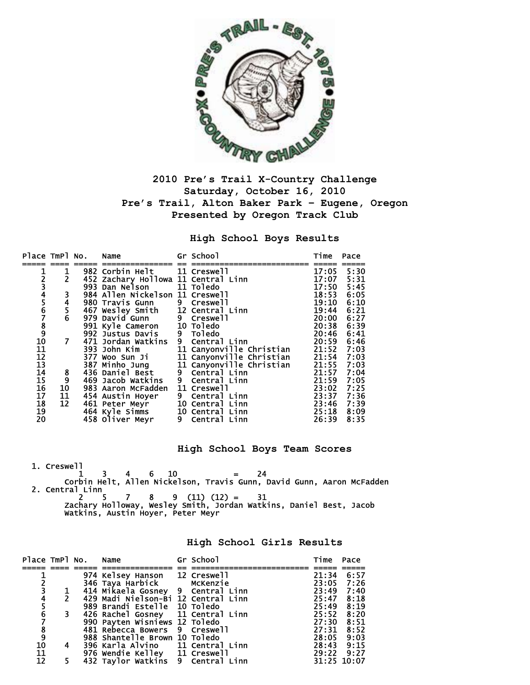

## **2010 Pre's Trail X-Country Challenge Saturday, October 16, 2010 Pre's Trail, Alton Baker Park – Eugene, Oregon Presented by Oregon Track Club**

**High School Boys Results** 

| Place TmPl No.                          |                                             | Name                                                             | Gr School                                                                  | Time  | Pace |
|-----------------------------------------|---------------------------------------------|------------------------------------------------------------------|----------------------------------------------------------------------------|-------|------|
| 1                                       | 1                                           | 982 Corbin Helt 11 Creswell                                      |                                                                            | 17:05 | 5:30 |
|                                         | $\overline{2}$                              | 452 Zachary Hollowa 11 Central Linn                              |                                                                            | 17:07 | 5:31 |
|                                         |                                             | 993 Dan Nelson 11 Toledo                                         |                                                                            | 17:50 | 5:45 |
|                                         |                                             | 984 Allen Nickelson 11 Creswell                                  |                                                                            | 18:53 | 6:05 |
| 234567891011                            | 3<br>4<br>5<br>6                            | 980 Travis Gunn                                                  | 9 Creswell                                                                 | 19:10 | 6:10 |
|                                         |                                             | 467 Wesley Smith 12 Central Linn                                 |                                                                            | 19:44 | 6:21 |
|                                         |                                             | 979 David Gunn                                                   | 9 Creswell                                                                 | 20:00 | 6:27 |
|                                         |                                             |                                                                  |                                                                            |       |      |
|                                         |                                             | 991 Kyle Cameron 10 Toledo                                       |                                                                            | 20:38 | 6:39 |
|                                         |                                             | 992 Justus Davis                                                 | 9 Toledo                                                                   | 20:46 | 6:41 |
|                                         | 7                                           | 471 Jordan Watkins                                               | 9 Central Linn                                                             | 20:59 | 6:46 |
|                                         |                                             | 393 John Kim                                                     | 11 Canyonville Christian                                                   |       |      |
|                                         |                                             | 377 Woo Sun Ji                                                   | 11 Canyonville Christian 21:52 7:03<br>11 Canyonville Christian 21:54 7:03 |       |      |
| $\begin{array}{c} 12 \\ 13 \end{array}$ |                                             | 387 Minho Jung                                                   | 11 Canyonville Christian                                                   | 21:55 | 7:03 |
| 14                                      |                                             | 436 Daniel Best                                                  | 9 Central Linn                                                             | 21:57 | 7:04 |
|                                         |                                             | 469 Jacob Watkins                                                | 9 Central Linn                                                             | 21:59 | 7:05 |
| $\frac{15}{16}$<br>$\frac{1}{17}$       | $\begin{array}{c} 8 \\ 9 \\ 10 \end{array}$ | 983 Aaron McFadden                                               | 11 Creswell                                                                | 23:02 | 7:25 |
|                                         | 11                                          | 454 Austin Hoyer                                                 | 9 Central Linn                                                             | 23:37 | 7:36 |
| 18                                      | 12                                          | 461 Peter Meyr                                                   | 10 Central Linn                                                            | 23:46 | 7:39 |
| 19                                      |                                             |                                                                  |                                                                            | 25:18 | 8:09 |
| 20                                      |                                             | 464 Kyle Simms 10 Central Linn<br>458 Oliver Meyr 9 Central Linn |                                                                            | 26:39 | 8:35 |

**High School Boys Team Scores** 

 1. Creswell  $1 \quad 3 \quad 4 \quad 6 \quad 10 \quad = \quad 24$  Corbin Helt, Allen Nickelson, Travis Gunn, David Gunn, Aaron McFadden 2. Central Linn 2 5 7 8 9 (11) (12) = 31 Zachary Holloway, Wesley Smith, Jordan Watkins, Daniel Best, Jacob Watkins, Austin Hoyer, Peter Meyr

**High School Girls Results** 

|                                                   |                | Place TmPl No. Name |                                                                    | Gr School | Time Pace  |             |
|---------------------------------------------------|----------------|---------------------|--------------------------------------------------------------------|-----------|------------|-------------|
|                                                   |                |                     |                                                                    |           |            |             |
|                                                   |                |                     | 974 Kelsey Hanson 12 Creswell                                      |           | 21:34      | 6:57        |
|                                                   |                |                     |                                                                    |           |            | 23:05 7:26  |
| $\frac{2}{3}$                                     |                |                     |                                                                    |           | 23:49 7:40 |             |
|                                                   | $\overline{2}$ |                     | 429 Madi Nielson-Bi 12 Central Linn                                |           | 25:47 8:18 |             |
|                                                   |                |                     | 989 Brandi Estelle 10 Toledo                                       |           | 25:49      | 8:19        |
| $\begin{array}{c} 4 \\ 5 \\ 6 \end{array}$        | 3              |                     | 426 Rachel Gosney 11 Central Linn                                  |           | 25:52      | 8:20        |
|                                                   |                |                     | 990 Payten Wisniews 12 Toledo                                      |           | 27:30      | 8:51        |
|                                                   |                |                     | 481 Rebecca Bowers 9 Creswell                                      |           | 27:31      | 8:52        |
|                                                   |                |                     | 988 Shantelle Brown 10 Toledo                                      |           | 28:05      | 9:03        |
|                                                   | 4              |                     | 396 Karla Alvino 11 Central Linn                                   |           | 28:43 9:15 |             |
| $\begin{array}{c} 8 \\ 9 \\ 10 \\ 11 \end{array}$ |                |                     |                                                                    |           |            | 29:22 9:27  |
| $\overline{12}$                                   | 5.             |                     | 976 Wendie Kelley 11 Creswell<br>432 Taylor Watkins 9 Central Linn |           |            | 31:25 10:07 |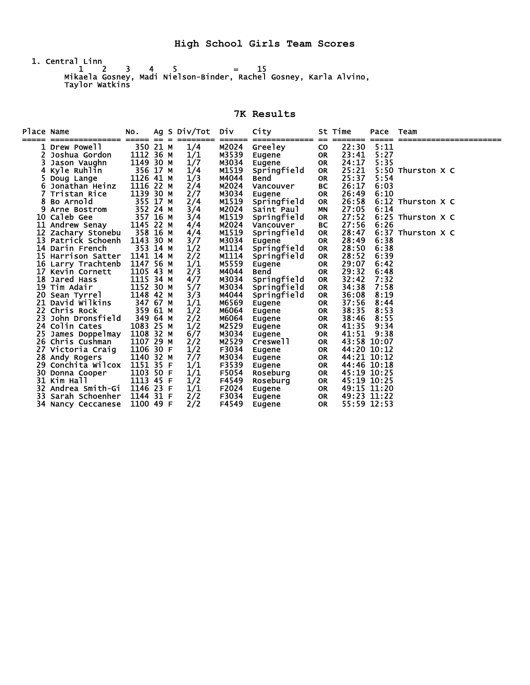1. Central Linn  $1 \t2 \t3 \t4 \t5 = 15$  Mikaela Gosney, Madi Nielson-Binder, Rachel Gosney, Karla Alvino, Taylor Watkins

**7K Results** 

| Place Name | ==========           | NO.<br>===== | $==$ | Ag S Div/Tot<br>======== | <b>D</b> iv<br>====== | City<br>------------- |           | St Time<br>======= | Pace<br>$=====$ | Team                |
|------------|----------------------|--------------|------|--------------------------|-----------------------|-----------------------|-----------|--------------------|-----------------|---------------------|
|            | <b>1 Drew Powell</b> | 350 21 M     |      | 1/4                      | M2024                 | Greeley               | <b>CO</b> | 22:30              | 5:11            |                     |
|            | Joshua Gordon        | 1112 36 M    |      | 1/1                      | M3539                 | Eugene                | <b>OR</b> | 23:41              | 5:27            |                     |
|            | Jason Vaughn         | 1149 30 M    |      | 1/7                      | M3034                 | Eugene                | <b>OR</b> | 24:17              | 5:35            |                     |
|            | Kyle Ruhlin          | 356 17 M     |      | 1/4                      | M1519                 | Springfield           | <b>OR</b> | 25:21              |                 | 5:50 Thurston X C   |
|            | Doug Lange           | 1126 41 M    |      | 1/3                      | M4044                 | Bend                  | <b>OR</b> | 25:37              | 5:54            |                     |
| 6          | Jonathan Heinz       | 1116 22 M    |      | 2/4                      | M2024                 | Vancouver             | BС        | 26:17              | 6:03            |                     |
|            | Tristan Rice         | 1139 30 M    |      | 2/7                      | M3034                 | Eugene                | <b>OR</b> | 26:49              | 6:10            |                     |
| 8          | Bo Arnold            | 355 17 M     |      | 2/4                      | M1519                 | Springfield           | <b>OR</b> | 26:58              |                 | $6:12$ Thurston X C |
| 9.         | Arne Bostrom         | 352 24 M     |      | 3/4                      | M2024                 | Saint Paul            | <b>MN</b> | 27:05              | 6:14            |                     |
|            | 10 Caleb Gee         | 357 16 M     |      | 3/4                      | M1519                 | Springfield           | <b>OR</b> | 27:52              |                 | $6:25$ Thurston X C |
|            | 11 Andrew Senay      | 1145 22 M    |      | 4/4                      | M2024                 | Vancouver             | BC        | 27:56              | 6:26            |                     |
|            | 12 Zachary Stonebu   | 358 16 M     |      | 4/4                      | M1519                 | Springfield           | <b>OR</b> | 28:47              |                 | $6:37$ Thurston X C |
|            | 13 Patrick Schoenh   | 1143 30 M    |      | 3/7                      | M3034                 | <b>Eugene</b>         | <b>OR</b> | 28:49              | 6:38            |                     |
|            | 14 Darin French      | 353 14 M     |      | 1/2                      | M1114                 | Springfield           | <b>OR</b> | 28:50              | 6:38            |                     |
|            | 15 Harrison Satter   | 1141 14 M    |      | 2/2                      | M1114                 | Springfield           | <b>OR</b> | 28:52              | 6:39            |                     |
|            | 16 Larry Trachtenb   | 1147 56 M    |      | 1/1                      | M5559                 | <b>Eugene</b>         | <b>OR</b> | 29:07              | 6:42            |                     |
| 17         | Kevin Cornett        | 1105 43 M    |      | 2/3                      | M4044                 | <b>Bend</b>           | <b>OR</b> | 29:32              | 6:48            |                     |
|            | <b>18 Jared Hass</b> | 1115 34 M    |      | 4/7                      | M3034                 | Springfield           | <b>OR</b> | 32:42              | 7:32            |                     |
|            | 19 Tim Adair         | 1152 30 M    |      | 5/7                      | M3034                 | Springfield           | <b>OR</b> | 34:38              | 7:58            |                     |
| 20         | Sean Tyrrel          | 1148 42 M    |      | 3/3                      | M4044                 | Springfield           | <b>OR</b> | 36:08              | 8:19            |                     |
|            | 21 David Wilkins     | 347 67 M     |      | 1/1                      | M6569                 | Eugene                | <b>OR</b> | 37:56              | 8:44            |                     |
|            | 22 Chris Rock        | 359 61 M     |      | 1/2                      | M6064                 | Eugene                | <b>OR</b> | 38:35              | 8:53            |                     |
|            | 23 John Dronsfield   | 349 64 M     |      | 2/2                      | M6064                 | Eugene                | OR        | 38:46              | 8:55            |                     |
|            | 24 Colin Cates       | 1083 25 M    |      | 1/2                      | M2529                 | Eugene                | <b>OR</b> | 41:35              | 9:34            |                     |
|            | 25 James Doppelmay   | 1108 32 M    |      | 6/7                      | M3034                 | Eugene                | <b>OR</b> | 41:51              | 9:38            |                     |
|            | 26 Chris Cushman     | 1107 29 M    |      | 2/2                      | M2529                 | Creswell              | <b>OR</b> | 43:58 10:07        |                 |                     |
|            | 27 Victoria Craig    | 1106 30 F    |      | 1/2                      | F3034                 | Eugene                | <b>OR</b> | 44:20 10:12        |                 |                     |
|            | 28 Andy Rogers       | 1140 32 M    |      | 7/7                      | M3034                 | Eugene                | <b>OR</b> | 44:21 10:12        |                 |                     |
| 29.        | Conchita Wilcox      | 1151 35 F    |      | 1/1                      | F3539                 | Eugene                | <b>OR</b> | 44:46 10:18        |                 |                     |
|            | 30 Donna Cooper      | 1103 50 F    |      | 1/1                      | F5054                 | Roseburg              | <b>OR</b> | 45:19 10:25        |                 |                     |
|            | 31 Kim Hall          | 1113 45 F    |      | 1/2                      | F4549                 | Roseburg              | <b>OR</b> | 45:19 10:25        |                 |                     |
|            | 32 Andrea Smith-Gi   | 1146 23 F    |      | 1/1                      | F2024                 | Eugene                | <b>OR</b> | 49:15 11:20        |                 |                     |
|            | 33 Sarah Schoenher   | 1144 31 F    |      | 2/2                      | F3034                 | Eugene                | OR.       |                    | 49:23 11:22     |                     |
|            | 34 Nancy Ceccanese   | 1100 49 F    |      | 2/2                      | F4549                 | Eugene                | <b>OR</b> |                    | 55:59 12:53     |                     |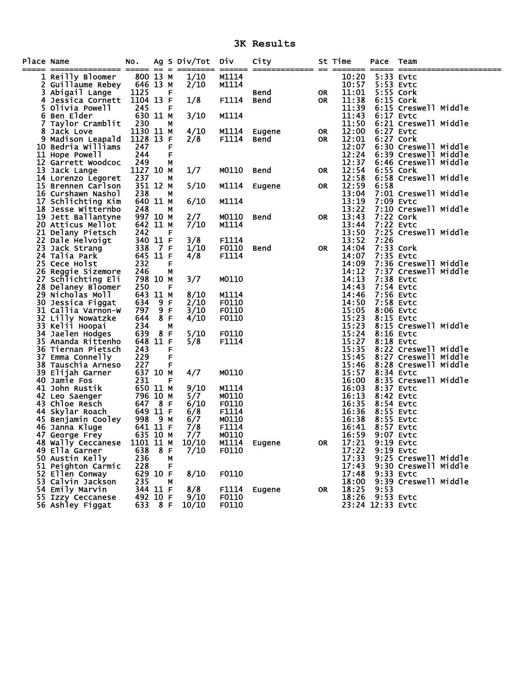**3K Results** 

| Place Name | ============= ===== == =                       | NO.                  |                |   | Ag S Div/Tot Div |              | City         |           | St Time                  | Pace             | Team                              |  |
|------------|------------------------------------------------|----------------------|----------------|---|------------------|--------------|--------------|-----------|--------------------------|------------------|-----------------------------------|--|
|            | 1 Reilly Bloomer                               | 800 13 M             |                |   | 1/10             | M1114        |              |           | 10:20                    |                  | 5:33 Evtc                         |  |
|            | 2 Guillaume Rebey                              | 646 13 M             |                |   | 2/10             | M1114        |              |           | 10:57                    |                  | 5:53 Evtc                         |  |
| 3.         | Abigail Lange                                  | 1125                 |                | F |                  |              | Bend         | OR.       | 11:01                    |                  | 5:55 Cork                         |  |
| 4          | Jessica Cornett                                | 1104 13 F            |                |   | 1/8              | F1114        | <b>Bend</b>  | 0R        | 11:38                    | 6:15 Cork        |                                   |  |
|            | 5 Olivia Powell                                | 245                  |                | F |                  |              |              |           | 11:39                    |                  | 6:15 Creswell Middle              |  |
|            | 6 Ben Elder                                    | 630 11 M             |                |   | 3/10             | M1114        |              |           | 11:43                    | 6:17 Evtc        |                                   |  |
| 7          | Taylor Cramblit                                | 230                  |                | М |                  |              |              |           | 11:50                    |                  | 6:21 Creswell Middle              |  |
| 8          | Jack Love                                      | 1130 11 M            |                |   | 4/10             | M1114        | Eugene       | <b>OR</b> | 12:00                    | 6:27 Evtc        |                                   |  |
|            | 9 Madison Leapald                              | 1128 13 F            |                |   | 2/8              | F1114        | Bend         | <b>OR</b> | 12:01                    |                  | 6:27 Cork                         |  |
|            | 10 Bedria Williams                             | 247                  |                | F |                  |              |              |           | 12:07                    |                  | 6:30 Creswell Middle              |  |
|            | 11 Hope Powell                                 | 244                  |                | F |                  |              |              |           | 12:24                    |                  | 6:39 Creswell Middle              |  |
|            | 12 Garrett Woodcoc                             | 249                  |                | М |                  |              |              |           | 12:37                    |                  | 6:46 Creswell Middle              |  |
|            | 13 Jack Lange                                  | 1127 10 M            |                |   | 1/7              | M0110        | <b>Bend</b>  | <b>OR</b> | 12:54                    | 6:55 Cork        |                                   |  |
|            | 14 Lorenzo Legoret                             | 237                  |                | М |                  |              |              |           | 12:58                    |                  | 6:58 Creswell Middle              |  |
|            | 15 Brennen Carlson                             | 351 12 M             |                |   | 5/10             | M1114        | Eugene       | <b>OR</b> | 12:59                    | 6:58             |                                   |  |
|            | 16 Curshawn Nashol                             | 238                  |                | м |                  |              |              |           | 13:04                    |                  | 7:01 Creswell Middle              |  |
|            | 17 Schlichting Kim                             | 640 11 M             |                |   | 6/10             | M1114        |              |           | 13:19                    | 7:09 Evtc        |                                   |  |
|            | 18 Jesse Witternbo                             | 248                  |                | М | 2/7              |              |              |           | 13:22<br>13:43           |                  | 7:10 Creswell Middle<br>7:22 Cork |  |
|            | 19 Jett Ballantyne                             | 997 10 M<br>642 11 M |                |   |                  | M0110        | <b>Bend</b>  | <b>OR</b> | 13:44                    | 7:22 Evtc        |                                   |  |
|            | <b>20 Atticus Mellot</b><br>21 Delany Pietsch  | 242                  |                | F | 7/10             | M1114        |              |           | 13:50                    |                  | 7:25 Creswell Middle              |  |
|            | 22 Dale Helvoigt                               | 340 11 F             |                |   | 3/8              | F1114        |              |           | 13:52                    | 7:26             |                                   |  |
|            | 23 Jack Strang                                 | 338                  | $\overline{7}$ | F | 1/10             | F0110        | Bend         | <b>OR</b> | 14:04                    |                  | 7:33 Cork                         |  |
|            | 24 Talia Park                                  | 645 11 F             |                |   | 4/8              | F1114        |              |           | 14:07                    | 7:35 Evtc        |                                   |  |
|            | 25 Cece Holst                                  | 232                  |                | F |                  |              |              |           | 14:09                    |                  | 7:36 Creswell Middle              |  |
|            | 26 Reggie Sizemore                             | 246                  |                | М |                  |              |              |           | 14:12                    |                  | 7:37 Creswell Middle              |  |
|            | 27 Schlichting Eli                             | 798 10 M             |                |   | 3/7              | M0110        |              |           | 14:13                    | 7:38 Evtc        |                                   |  |
|            | 28 Delaney Bloomer                             | 250                  |                | F |                  |              |              |           | 14:43                    | 7:54 Evtc        |                                   |  |
|            | 29 Nicholas Moll                               | 643                  | 11 M           |   | 8/10             | M1114        |              |           | 14:46                    | 7:56 Evtc        |                                   |  |
|            | 30 Jessica Figgat                              | 634                  | 9 F            |   | 2/10             | F0110        |              |           | 14:50                    | 7:58 Evtc        |                                   |  |
|            | 31 Callia Varnon-W                             | 797                  | 9 F            |   | 3/10             | F0110        |              |           | 15:05                    | 8:06 Evtc        |                                   |  |
|            | 32 Lilly Nowatzke                              | 644                  | 8 F            |   | 4/10             | F0110        |              |           | 15:23                    | 8:15 Evtc        |                                   |  |
|            | 33 Kelii Hoopai                                | 234                  |                | М |                  |              |              |           | 15:23                    |                  | 8:15 Creswell Middle              |  |
|            | 34 Jaelen Hodges                               | 639                  | 8 F            |   | 5/10             | F0110        |              |           | 15:24                    | 8:16 Evtc        |                                   |  |
|            | 35 Ananda Rittenho                             | 648 11 F             |                |   | 5/8              | F1114        |              |           | 15:27                    | 8:18 Evtc        |                                   |  |
|            | 36 Tiernan Pietsch                             | 243                  |                | F |                  |              |              |           | 15:35                    |                  | 8:22 Creswell Middle              |  |
|            | 37 Emma Connelly                               | 229                  |                | F |                  |              |              |           | 15:45                    |                  | 8:27 Creswell Middle              |  |
|            | 38 Tauschia Arneso                             | 227                  |                | F |                  |              |              |           | 15:46                    |                  | 8:28 Creswell Middle              |  |
|            | 39 Elijah Garner                               | 637 10 M             |                |   | 4/7              | M0110        |              |           | 15:57                    | 8:34 Evtc        |                                   |  |
| 40         | Jamie Fos                                      | 231                  |                | F |                  |              |              |           | 16:00                    |                  | 8:35 Creswell Middle              |  |
|            | 41 John Rustik                                 | 650 11 M             |                |   | 9/10             | M1114        |              |           | 16:03                    | 8:37 Evtc        |                                   |  |
|            | 42 Leo Saenger                                 | 796 10 M             |                |   | 5/7              | M0110        |              |           | 16:13                    | 8:42 Evtc        |                                   |  |
|            | 43 Chloe Resch                                 | 647 8 F              |                |   | 6/10             | F0110        |              |           | 16:35                    | 8:54 Evtc        |                                   |  |
|            | 44 Skylar Roach                                | 649 11 F             |                |   | 6/8              | F1114        |              |           | 16:36                    | 8:55 Evtc        |                                   |  |
|            | 45 Benjamin Cooley                             | 998                  | 9 M            |   | 6/7              | M0110        |              |           | 16:38                    | 8:55 Evtc        |                                   |  |
|            | 46 Janna Kluge                                 | 641 11 F             |                |   | 7/8              | F1114        |              |           | 16:41                    | 8:57 Evtc        |                                   |  |
|            | 47 George Frey                                 | 635 10 M             |                |   | 7/7              | M0110        |              |           | 16:59                    | 9:19 Evtc        | 9:07 Evtc                         |  |
|            | 48 Wally Ceccanese 1101 11 M<br>49 Ella Garner | 638 8 F              |                |   | 10/10<br>7/10    | F0110        | M1114 Eugene | <b>OR</b> | 17:21<br>17:22 9:19 Evtc |                  |                                   |  |
|            | 50 Austin Kelly                                | 236                  |                | М |                  |              |              |           | 17:33                    |                  | 9:25 Creswell Middle              |  |
|            | 51 Peighton Carmic                             | 228                  |                | F |                  |              |              |           | 17:43                    |                  | 9:30 Creswell Middle              |  |
|            | 52 Ellen Conway                                | 629 10 F             |                |   | 8/10             | F0110        |              |           | 17:48                    | 9:33 Evtc        |                                   |  |
|            | 53 Calvin Jackson                              | 235                  |                | м |                  |              |              |           | 18:00                    |                  | 9:39 Creswell Middle              |  |
|            | 54 Emily Marvin                                | 344 11 F             |                |   | 8/8              | <b>F1114</b> | Eugene       | OR.       | 18:25                    | 9:53             |                                   |  |
|            | 55 Izzy Ceccanese                              | 492 10 F             |                |   | 9/10             | F0110        |              |           |                          | 18:26 9:53 Evtc  |                                   |  |
|            | 56 Ashley Figgat                               | 633 8 F              |                |   | 10/10            | F0110        |              |           |                          | 23:24 12:33 Evtc |                                   |  |
|            |                                                |                      |                |   |                  |              |              |           |                          |                  |                                   |  |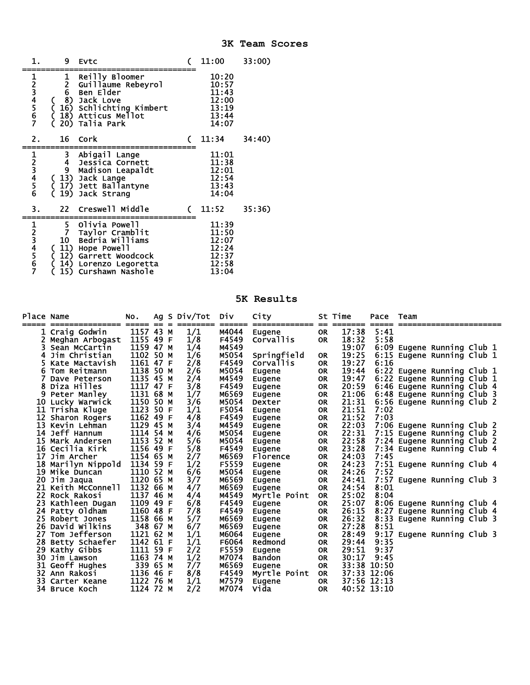|         | 9                                | <b>EVtc</b>                                                                                                                                                                            |   | <b>11:00</b>                                                | 33:00) |
|---------|----------------------------------|----------------------------------------------------------------------------------------------------------------------------------------------------------------------------------------|---|-------------------------------------------------------------|--------|
| 1234567 |                                  | 1 Reilly Blo<br>2 Guillaume<br>6 Ben Elder<br>8) Jack Love<br>Reilly Bloomer<br>Guillaume Rebeyrol<br>Ben Elder<br>( 16) Schlichting Kimbert<br>( 18) Atticus Mellot<br>20) Talia Park |   | 10:20<br>10:57<br>11:43<br>12:00<br>13:19<br>13:44<br>14:07 |        |
| 2.      | 16                               | Cork                                                                                                                                                                                   | C | 11:34                                                       | 34:40  |
| 123456  |                                  | 3 Abigail La<br>4 Jessica Com<br>9 Madison Lea<br>6 (13) Jack Lange<br>Abigail Lange<br>Jessica Cornett<br>Madison Leapaldt<br>(17) Jett Ballantyne<br>19) Jack Strang                 |   | 11:01<br>11:38<br>12:01<br>12:54<br>13:43<br>14:04          |        |
| З.      | 22                               | Creswell Middle                                                                                                                                                                        |   | 11:52                                                       | 35:36) |
| 1234567 | 5<br>7<br>10 <sub>1</sub><br>15) | Olivia Powell<br>Taylor Cramblit<br>Bedria Williams<br>(11) Hope Powell<br>12) Garrett Woodcock<br>14) Lorenzo Legoretta<br>Curshawn Nashole                                           |   | 11:39<br>11:50<br>12:07<br>12:24<br>12:37<br>12:58<br>13:04 |        |

## **5K Results**

| Place Name |                    | NO.       |     | Ag S Div/Tot | Div    | City                   |           | St Time     | Pace        | Team                       |
|------------|--------------------|-----------|-----|--------------|--------|------------------------|-----------|-------------|-------------|----------------------------|
| =====      |                    | =====     | $=$ |              | ====== | =============          | $=$       | =====       | =====       |                            |
|            | Craig Godwin       | 1157 43 M |     | 1/1          | M4044  | Eugene                 | <b>OR</b> | 17:38       | 5:41        |                            |
|            | Meghan Arbogast    | 1155 49 F |     | 1/8          | F4549  | Corvallis              | <b>OR</b> | 18:32       | 5:58        |                            |
| 3          | Sean McCartin      | 1159 47 M |     | 1/4          | M4549  |                        |           | 19:07       |             | 6:09 Eugene Running Club 1 |
| 4          | Jim Christian      | 1102 50 M |     | 1/6          | M5054  | Springfield            | <b>OR</b> | 19:25       |             | 6:15 Eugene Running Club 1 |
| 5.         | Kate Mactavish     | 1161 47 F |     | 2/8          | F4549  | <b>Corvallis</b>       | <b>OR</b> | 19:27       | 6:16        |                            |
| 6.         | Tom Reitmann       | 1138 50 M |     | 2/6          | M5054  | Eugene                 | <b>OR</b> | 19:44       |             | 6:22 Eugene Running Club 1 |
|            | Dave Peterson      | 1135 45 M |     | 2/4          | M4549  | Eugene                 | <b>OR</b> | 19:47       |             | 6:22 Eugene Running Club 1 |
| 8          | Diza Hilles        | 1117 47 F |     | 3/8          | F4549  | Eugene                 | <b>OR</b> | 20:59       |             | 6:46 Eugene Running Club 4 |
| 9          | Peter Manley       | 1131 68 M |     | 1/7          | M6569  | Eugene                 | <b>OR</b> | 21:06       |             | 6:48 Eugene Running Club 3 |
|            | 10 Lucky Warwick   | 1150 50 M |     | 3/6          | M5054  | Dexter                 | <b>OR</b> | 21:31       |             | 6:56 Eugene Running Club 2 |
|            | 11 Trisha Kluge    | 1123 50 F |     | 1/1          | F5054  | Eugene                 | <b>OR</b> | 21:51       | 7:02        |                            |
| 12         | Sharon Rogers      | 1162 49 F |     | 4/8          | F4549  | Eugene                 | <b>OR</b> | 21:52       | 7:03        |                            |
| 13         | Kevin Lehman       | 1129 45 M |     | 3/4          | M4549  | Eugene                 | <b>OR</b> | 22:03       |             | 7:06 Eugene Running Club 2 |
| 14         | Jeff Hannum        | 1114 54 M |     | 4/6          | M5054  | Eugene                 | <b>OR</b> | 22:31       |             | 7:15 Eugene Running Club 2 |
|            | 15 Mark Andersen   | 1153 52 M |     | 5/6          | M5054  | Eugene                 | <b>OR</b> | 22:58       |             | 7:24 Eugene Running Club 2 |
|            | 16 Cecilia Kirk    | 1156 49 F |     | 5/8          | F4549  | Eugene                 | <b>OR</b> | 23:28       |             | 7:34 Eugene Running Club 4 |
|            | 17 Jim Archer      | 1154 65 M |     | 2/7          | M6569  | Florence               | <b>OR</b> | 24:03       | 7:45        |                            |
|            | 18 Marilyn Nippold | 1134 59 F |     | 1/2          | F5559  | Eugene                 | <b>OR</b> | 24:23       |             | 7:51 Eugene Running Club 4 |
|            | 19 Mike Duncan     | 1110 52 M |     | 6/6          | M5054  | Eugene                 | <b>OR</b> | 24:26       | 7:52        |                            |
|            | 20 Jim Jaqua       | 1120 65 M |     | 3/7          | M6569  | Eugene                 | <b>OR</b> | 24:41       |             | 7:57 Eugene Running Club 3 |
| 21         | Keith McConnell    | 1132 66 M |     | 4/7          | M6569  | Eugene                 | <b>OR</b> | 24:54       | 8:01        |                            |
|            | 22 Rock Rakosi     | 1137 46 M |     | 4/4          | M4549  | Myrtle Point           | <b>OR</b> | 25:02       | 8:04        |                            |
| 23.        | Kathleen Dugan     | 1109 49 F |     | 6/8          | F4549  | <b>Eugene</b>          | <b>OR</b> | 25:07       |             | 8:06 Eugene Running Club 4 |
|            | 24 Patty Oldham    | 1160 48 F |     | 7/8          | F4549  | Eugene                 | <b>OR</b> | 26:15       |             | 8:27 Eugene Running Club 4 |
|            | 25 Robert Jones    | 1158 66 M |     | 5/7          | M6569  | Eugene                 | <b>OR</b> | 26:32       |             | 8:33 Eugene Running Club 3 |
|            | 26 David Wilkins   | 348 67 M  |     | 6/7          | M6569  | Eugene                 | <b>OR</b> | 27:28       | 8:51        |                            |
| 27         | Tom Jefferson      | 1121 62 M |     | 1/1          | M6064  | Eugene                 | <b>OR</b> | 28:49       |             | 9:17 Eugene Running Club 3 |
|            | 28 Betty Schaefer  | 1142 61 F |     | 1/1          | F6064  | Redmond                | <b>OR</b> | 29:44       | 9:35        |                            |
| 29         | Kathy Gibbs        | 1111 59 F |     | 2/2          | F5559  | Eugene                 | <b>OR</b> | 29:51       | 9:37        |                            |
| 30         | Jim Lawson         | 1163 74 M |     | 1/2          | M7074  | <b>Bandon</b>          | <b>OR</b> | 30:17       | 9:45        |                            |
| 31         | Geoff Hughes       | 339 65 M  |     | 7/7          | M6569  |                        | <b>OR</b> | 33:38 10:50 |             |                            |
|            | 32 Ann Rakosi      | 1136 46 F |     | 8/8          | F4549  | Eugene<br>Myrtle Point | <b>OR</b> |             | 37:33 12:06 |                            |
|            | 33 Carter Keane    | 1122 76 M |     |              | M7579  |                        |           | 37:56 12:13 |             |                            |
|            |                    | 1124 72 M |     | 1/1<br>2/2   | M7074  | <b>Eugene</b>          | <b>OR</b> | 40:52 13:10 |             |                            |
|            | 34 Bruce Koch      |           |     |              |        | Vida                   | <b>OR</b> |             |             |                            |